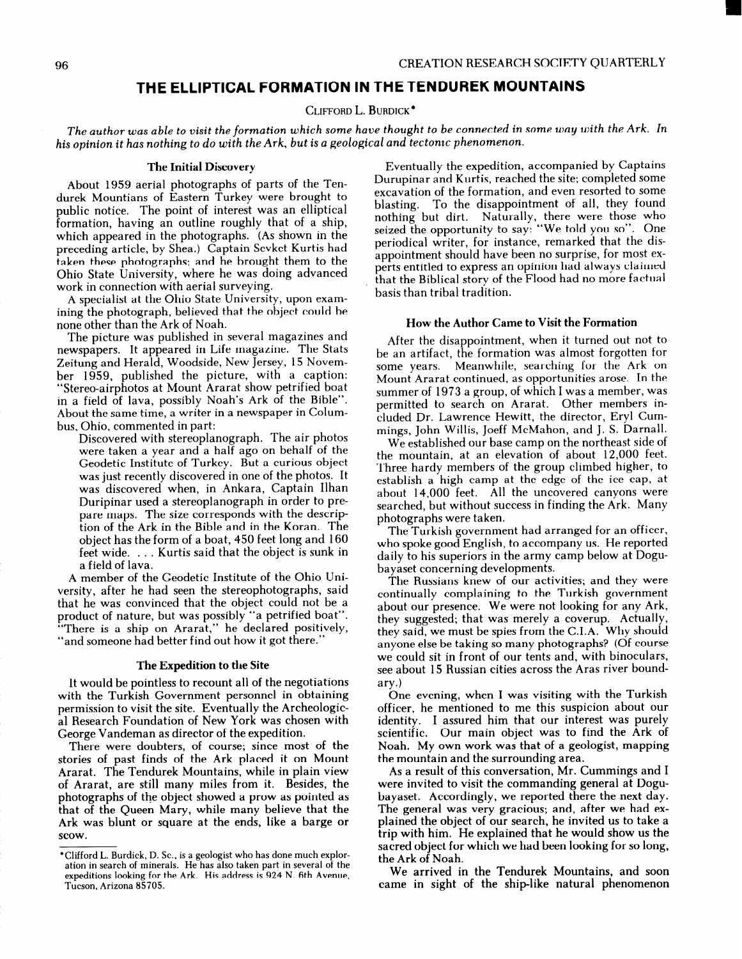## THE ELLIPTICAL FORMATION IN THE TENDUREK MOUNTAINS

CLIFFORD L. BURDICK \*

The author was able to visit the formation which some have thought to be connected in some way with the Ark. In his opinion it has nothing to do with the Ark, but is a geological and tectonic phenomenon.

## The Initial Discovery

About 1959 aerial photographs of parts of the Tendurek Mountians of Eastern Turkey were brought to public notice. The point of interest was an elliptical formation, having an outline roughly that of a ship, which appeared in the photographs. (As shown in the preceding article, by Shea.) Captain Sevket Kurtis had taken these photographs; and he brought them to the Ohio State University, where he was doing advanced work in connection with aerial surveying.

A specialist at the Ohio State University, upon examining the photograph, believed that the object could be none other than the Ark of Noah.

The picture was published in several magazines and newspapers. It appeared in Life magazine. The Stats Zeitung and Herald, Woodside, New Jersey, 15 November 1959, published the picture, with a caption: "Stereo-airphotos at Mount Ararat show petrified boat in a field of lava, possibly Noah's Ark of the Bible". About the same time, a writer in a newspaper in Columbus, Ohio, commented in part:

Discovered with stereoplanograph. The air photos were taken a year and a half ago on behalf of the Geodetic Institute of Turkey. But a curious object was just recently discovered in one of the photos. It was discovered when, in Ankara, Captain Ilhan Duripinar used a stereoplanograph in order to prepare maps. The size corresponds with the description of the Ark in the Bible and in the Koran. The object has the form of a boat, 450 feet long and 160 feet wide. . . . Kurtis said that the object is sunk in a field of lava.

A member of the Geodetic Institute of the Ohio University, after he had seen the stereophotographs, said that he was convinced that the object could not be a product of nature, but was possibly "a petrified boat". "There is a ship on Ararat," he declared positivel "and someone had better find out how it got there."

## The Expedition to the Site

It would be pointless to recount all of the negotiations with the Turkish Government personnel in obtaining permission to visit the site. Eventually the Archeological Research Foundation of New York was chosen with George Vandeman as director of the expedition.

There were doubters, of course; since most of the stories of past finds of the Ark placed it on Mount Ararat. The Tendurek Mountains, while in plain view of Ararat, are still many miles from it. Besides, the photographs of the object showed a prow as pointed as that of the Queen Mary, while many believe that the Ark was blunt or square at the ends, like a barge or scow.

Eventually the expedition, accompanied by Captains Durupinar and Kurtis, reached the site; completed some excavation of the formation, and even resorted to some blasting. To the disappointment of all, they found nothing but dirt. Naturally, there were those who seized the opportunity to say: "We told you so". One periodical writer, for instance, remarked that the disappointment should have been no surprise, for most experts entitled to express an opinion had always claimed that the Biblical story of the Flood had no more factual basis than tribal tradition.

## How the Author Came to Visit the Formation

After the disappointment, when it turned out not to be an artifact, the formation was almost forgotten for some years. Meanwhile, searching for the Ark on Mount Ararat continued, as opportunities arose. In the summer of 1973 a group, of which I was a member, was permitted to search on Ararat. Other members included Dr. Lawrence Hewitt, the director, Eryl Cummings, John Willis, Joeff McMahon, and J. S. Darnall.

We established our base camp on the northeast side of the mountain, at an elevation of about 12,000 feet. Three hardy members of the group climbed higher, to establish a high camp at the edge of the ice cap, at about 14,000 feet. All the uncovered canyons were searched, but without success in finding the Ark. Many photographs were taken.

The Turkish government had arranged for an officer, who spoke good English, to accompany us. He reported daily to his superiors in the army camp below at Dogubayaset concerning developments.

The Russians knew of our activities; and they were continually complaining to the Turkish government about our presence. We were not looking for any Ark, they suggested; that was merely a coverup. Actually, they said, we must be spies from the C.I.A. Why should anyone else be taking so many photographs? (Of course we could sit in front of our tents and, with binoculars, see about 15 Russian cities across the Aras river boundary.)

One evening, when I was visiting with the Turkish officer, he mentioned to me this suspicion about our identity. I assured him that our interest was purely scientific. Our main object was to find the Ark of Noah. My own work was that of a geologist, mapping the mountain and the surrounding area.

As a result of this conversation, Mr. Cummings and I were invited to visit the commanding general at Dogubayaset. Accordingly, we reported there the next day. The general was very gracious; and, after we had explained the object of our search, he invited us to take a trip with him. He explained that he would show us the sacred object for which we had been looking for so long, the Ark of Noah.

We arrived in the Tendurek Mountains, and soon came in sight of the ship-like natural phenomenon

<sup>\*</sup>Clifford L. Burdick, D. SC., is a geologist who has done much exploration in search of minerals. He has also taken part in several of the expeditions looking for the Ark. His address is 924 N. 6th Avenue, Tucson, Arizona 85705.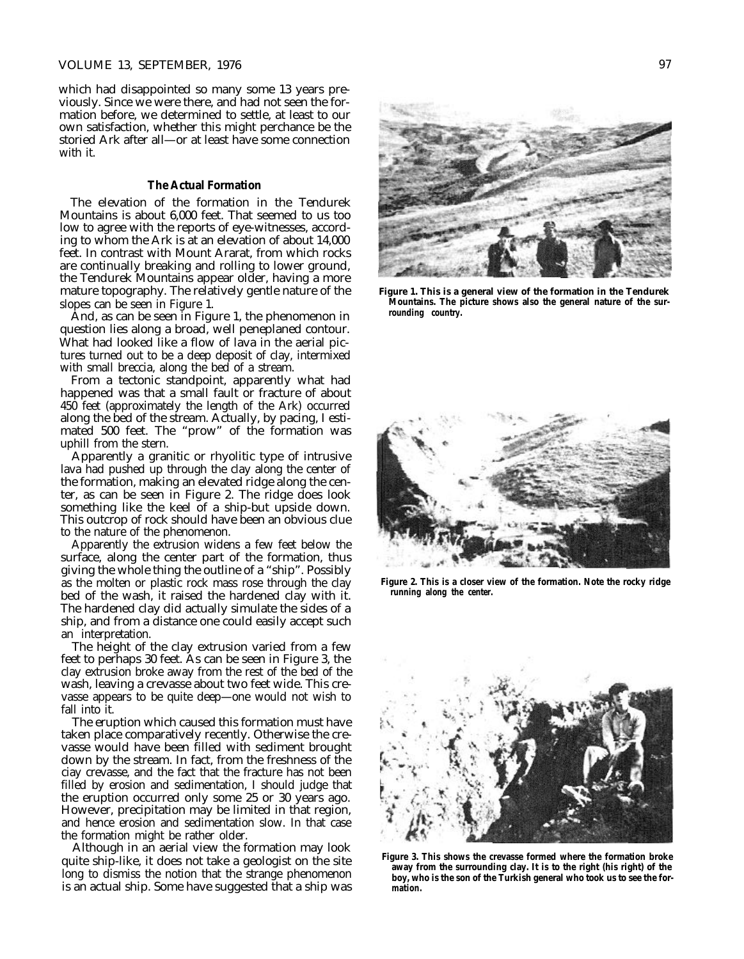#### VOLUME 13, SEPTEMBER, 1976 97

which had disappointed so many some 13 years previously. Since we were there, and had not seen the formation before, we determined to settle, at least to our own satisfaction, whether this might perchance be the storied Ark after all—or at least have some connection with it.

#### **The Actual Formation**

The elevation of the formation in the Tendurek Mountains is about 6,000 feet. That seemed to us too low to agree with the reports of eye-witnesses, according to whom the Ark is at an elevation of about 14,000 feet. In contrast with Mount Ararat, from which rocks are continually breaking and rolling to lower ground, the Tendurek Mountains appear older, having a more mature topography. The relatively gentle nature of the slopes can be seen in Figure 1.

And, as can be seen in Figure 1, the phenomenon in question lies along a broad, well peneplaned contour. What had looked like a flow of lava in the aerial pictures turned out to be a deep deposit of clay, intermixed with small breccia, along the bed of a stream.

From a tectonic standpoint, apparently what had happened was that a small fault or fracture of about 450 feet (approximately the length of the Ark) occurred along the bed of the stream. Actually, by pacing, I estimated 500 feet. The "prow" of the formation was uphill from the stern.

Apparently a granitic or rhyolitic type of intrusive lava had pushed up through the clay along the center of the formation, making an elevated ridge along the center, as can be seen in Figure 2. The ridge does look something like the keel of a ship-but upside down. This outcrop of rock should have been an obvious clue to the nature of the phenomenon.

Apparently the extrusion widens a few feet below the surface, along the center part of the formation, thus giving the whole thing the outline of a "ship". Possibly as the molten or plastic rock mass rose through the clay bed of the wash, it raised the hardened clay with it. The hardened clay did actually simulate the sides of a ship, and from a distance one could easily accept such an interpretation.

The height of the clay extrusion varied from a few feet to perhaps 30 feet. As can be seen in Figure 3, the clay extrusion broke away from the rest of the bed of the wash, leaving a crevasse about two feet wide. This crevasse appears to be quite deep—one would not wish to fall into it.

The eruption which caused this formation must have taken place comparatively recently. Otherwise the crevasse would have been filled with sediment brought down by the stream. In fact, from the freshness of the ciay crevasse, and the fact that the fracture has not been filled by erosion and sedimentation, I should judge that the eruption occurred only some 25 or 30 years ago. However, precipitation may be limited in that region, and hence erosion and sedimentation slow. In that case the formation might be rather older.

Although in an aerial view the formation may look quite ship-like, it does not take a geologist on the site long to dismiss the notion that the strange phenomenon is an actual ship. Some have suggested that a ship was



**Figure 1. This is a general view of the formation in the Tendurek Mountains. The picture shows also the general nature of the surrounding country.**



**Figure 2. This is a closer view of the formation. Note the rocky ridge running along the center.**



**Figure 3. This shows the crevasse formed where the formation broke away from the surrounding clay. It is to the right (his right) of the boy, who is the son of the Turkish general who took us to see the formation.**